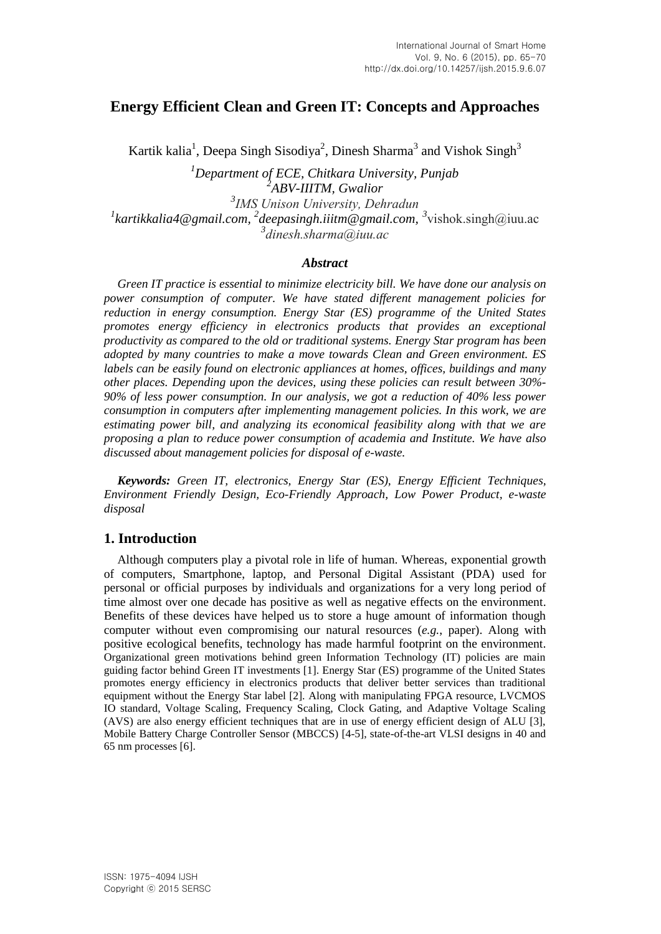# **Energy Efficient Clean and Green IT: Concepts and Approaches**

Kartik kalia<sup>1</sup>, Deepa Singh Sisodiya<sup>2</sup>, Dinesh Sharma<sup>3</sup> and Vishok Singh<sup>3</sup>

*Department of ECE, Chitkara University, Punjab 2 ABV-IIITM, Gwalior IMS Unison University, Dehradun* <sup>1</sup>kartikkalia4@gmail.com, <sup>2</sup>deepasingh.iiitm@gmail.com, <sup>3</sup>vishok.singh@iuu.ac *dinesh.sharma@iuu.ac*

#### *Abstract*

*Green IT practice is essential to minimize electricity bill. We have done our analysis on power consumption of computer. We have stated different management policies for reduction in energy consumption. Energy Star (ES) programme of the United States promotes energy efficiency in electronics products that provides an exceptional productivity as compared to the old or traditional systems. Energy Star program has been adopted by many countries to make a move towards Clean and Green environment. ES labels can be easily found on electronic appliances at homes, offices, buildings and many other places. Depending upon the devices, using these policies can result between 30%- 90% of less power consumption. In our analysis, we got a reduction of 40% less power consumption in computers after implementing management policies. In this work, we are estimating power bill, and analyzing its economical feasibility along with that we are proposing a plan to reduce power consumption of academia and Institute. We have also discussed about management policies for disposal of e-waste.*

*Keywords: Green IT, electronics, Energy Star (ES), Energy Efficient Techniques, Environment Friendly Design, Eco-Friendly Approach, Low Power Product, e-waste disposal*

## **1. Introduction**

Although computers play a pivotal role in life of human. Whereas, exponential growth of computers, Smartphone, laptop, and Personal Digital Assistant (PDA) used for personal or official purposes by individuals and organizations for a very long period of time almost over one decade has positive as well as negative effects on the environment. Benefits of these devices have helped us to store a huge amount of information though computer without even compromising our natural resources (*e.g.*, paper). Along with positive ecological benefits, technology has made harmful footprint on the environment. Organizational green motivations behind green Information Technology (IT) policies are main guiding factor behind Green IT investments [1]. Energy Star (ES) programme of the United States promotes energy efficiency in electronics products that deliver better services than traditional equipment without the Energy Star label [2]. Along with manipulating FPGA resource, LVCMOS IO standard, Voltage Scaling, Frequency Scaling, Clock Gating, and Adaptive Voltage Scaling (AVS) are also energy efficient techniques that are in use of energy efficient design of ALU [3], Mobile Battery Charge Controller Sensor (MBCCS) [4-5], state-of-the-art VLSI designs in 40 and 65 nm processes [6].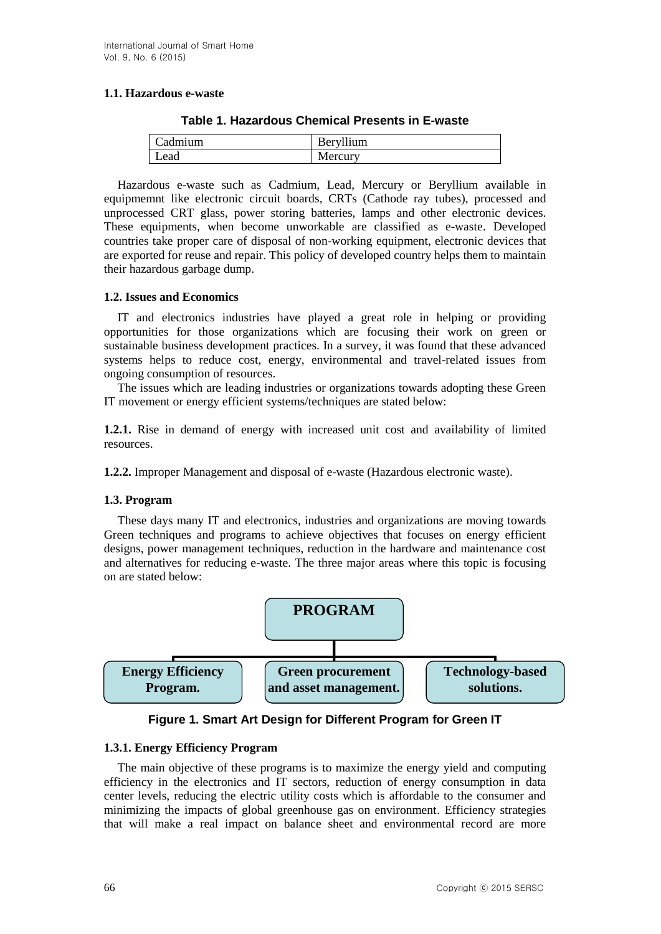#### **1.1. Hazardous e-waste**

| Cadmium | Beryllium |
|---------|-----------|
| Lead    | Mercury   |

**Table 1. Hazardous Chemical Presents in E-waste**

Hazardous e-waste such as Cadmium, Lead, Mercury or Beryllium available in equipmemnt like electronic circuit boards, CRTs (Cathode ray tubes), processed and unprocessed CRT glass, power storing batteries, lamps and other electronic devices. These equipments, when become unworkable are classified as e-waste. Developed countries take proper care of disposal of non-working equipment, electronic devices that are exported for reuse and repair. This policy of developed country helps them to maintain their hazardous garbage dump.

#### **1.2. Issues and Economics**

IT and electronics industries have played a great role in helping or providing opportunities for those organizations which are focusing their work on green or sustainable business development practices. In a survey, it was found that these advanced systems helps to reduce cost, energy, environmental and travel-related issues from ongoing consumption of resources.

The issues which are leading industries or organizations towards adopting these Green IT movement or energy efficient systems/techniques are stated below:

**1.2.1.** Rise in demand of energy with increased unit cost and availability of limited resources.

**1.2.2.** Improper Management and disposal of e-waste (Hazardous electronic waste).

## **1.3. Program**

These days many IT and electronics, industries and organizations are moving towards Green techniques and programs to achieve objectives that focuses on energy efficient designs, power management techniques, reduction in the hardware and maintenance cost and alternatives for reducing e-waste. The three major areas where this topic is focusing on are stated below:



**Figure 1. Smart Art Design for Different Program for Green IT**

#### **1.3.1. Energy Efficiency Program**

The main objective of these programs is to maximize the energy yield and computing efficiency in the electronics and IT sectors, reduction of energy consumption in data center levels, reducing the electric utility costs which is affordable to the consumer and minimizing the impacts of global greenhouse gas on environment. Efficiency strategies that will make a real impact on balance sheet and environmental record are more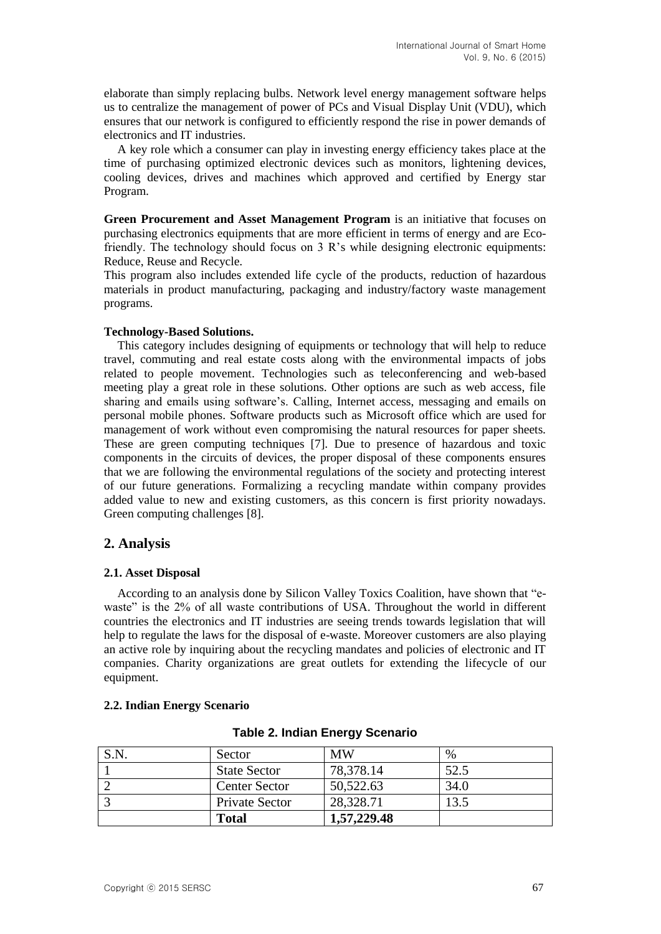elaborate than simply replacing bulbs. Network level energy management software helps us to centralize the management of power of PCs and Visual Display Unit (VDU), which ensures that our network is configured to efficiently respond the rise in power demands of electronics and IT industries.

A key role which a consumer can play in investing energy efficiency takes place at the time of purchasing optimized electronic devices such as monitors, lightening devices, cooling devices, drives and machines which approved and certified by Energy star Program.

**Green Procurement and Asset Management Program** is an initiative that focuses on purchasing electronics equipments that are more efficient in terms of energy and are Ecofriendly. The technology should focus on 3 R's while designing electronic equipments: Reduce, Reuse and Recycle.

This program also includes extended life cycle of the products, reduction of hazardous materials in product manufacturing, packaging and industry/factory waste management programs.

#### **Technology-Based Solutions.**

This category includes designing of equipments or technology that will help to reduce travel, commuting and real estate costs along with the environmental impacts of jobs related to people movement. Technologies such as teleconferencing and web-based meeting play a great role in these solutions. Other options are such as web access, file sharing and emails using software's. Calling, Internet access, messaging and emails on personal mobile phones. Software products such as Microsoft office which are used for management of work without even compromising the natural resources for paper sheets. These are green computing techniques [7]. Due to presence of hazardous and toxic components in the circuits of devices, the proper disposal of these components ensures that we are following the environmental regulations of the society and protecting interest of our future generations. Formalizing a recycling mandate within company provides added value to new and existing customers, as this concern is first priority nowadays. Green computing challenges [8].

## **2. Analysis**

#### **2.1. Asset Disposal**

According to an analysis done by Silicon Valley Toxics Coalition, have shown that "ewaste" is the 2% of all waste contributions of USA. Throughout the world in different countries the electronics and IT industries are seeing trends towards legislation that will help to regulate the laws for the disposal of e-waste. Moreover customers are also playing an active role by inquiring about the recycling mandates and policies of electronic and IT companies. Charity organizations are great outlets for extending the lifecycle of our equipment.

#### **2.2. Indian Energy Scenario**

| S.N. | Sector               | <b>MW</b>   | %    |
|------|----------------------|-------------|------|
|      | <b>State Sector</b>  | 78,378.14   | 52.5 |
|      | <b>Center Sector</b> | 50,522.63   | 34.0 |
|      | Private Sector       | 28,328.71   | 13.5 |
|      | <b>Total</b>         | 1,57,229.48 |      |

#### **Table 2. Indian Energy Scenario**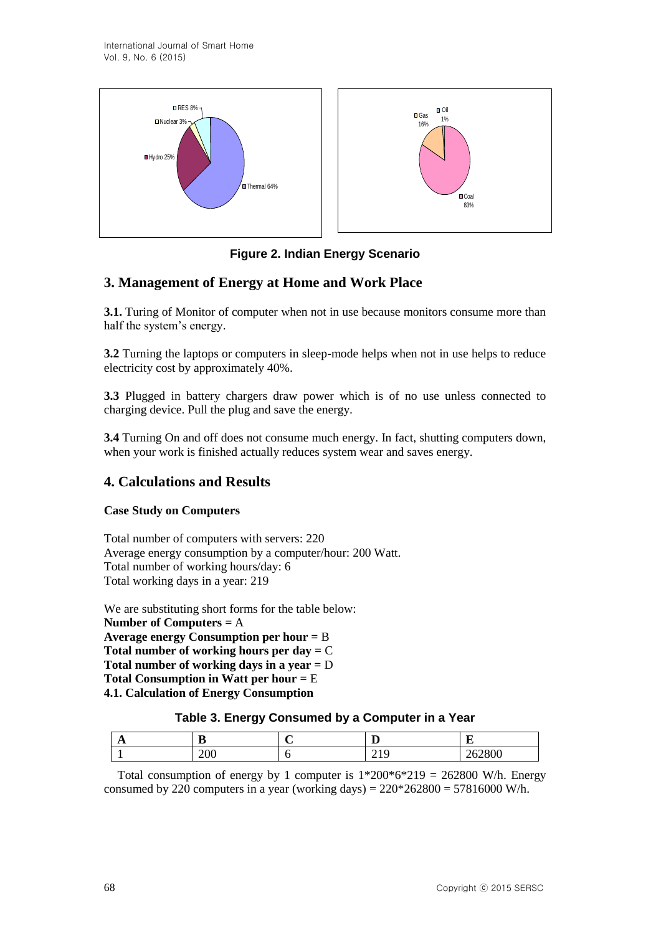

**Figure 2. Indian Energy Scenario**

# **3. Management of Energy at Home and Work Place**

**3.1.** Turing of Monitor of computer when not in use because monitors consume more than half the system's energy.

**3.2** Turning the laptops or computers in sleep-mode helps when not in use helps to reduce electricity cost by approximately 40%.

**3.3** Plugged in battery chargers draw power which is of no use unless connected to charging device. Pull the plug and save the energy.

**3.4** Turning On and off does not consume much energy. In fact, shutting computers down, when your work is finished actually reduces system wear and saves energy.

## **4. Calculations and Results**

#### **Case Study on Computers**

Total number of computers with servers: 220 Average energy consumption by a computer/hour: 200 Watt. Total number of working hours/day: 6 Total working days in a year: 219

We are substituting short forms for the table below: **Number of Computers =** A **Average energy Consumption per hour =** B **Total number of working hours per day =** C **Total number of working days in a year =** D **Total Consumption in Watt per hour =** E **4.1. Calculation of Energy Consumption**

## **Table 3. Energy Consumed by a Computer in a Year**

| $\mathbf{L}$ | n<br>ш | -<br>≖   | $\overline{\phantom{a}}$ |
|--------------|--------|----------|--------------------------|
|              | 200    | $\sim$ 1 | 262800                   |

Total consumption of energy by 1 computer is  $1*200*6*219 = 262800$  W/h. Energy consumed by 220 computers in a year (working days) =  $220*262800 = 57816000$  W/h.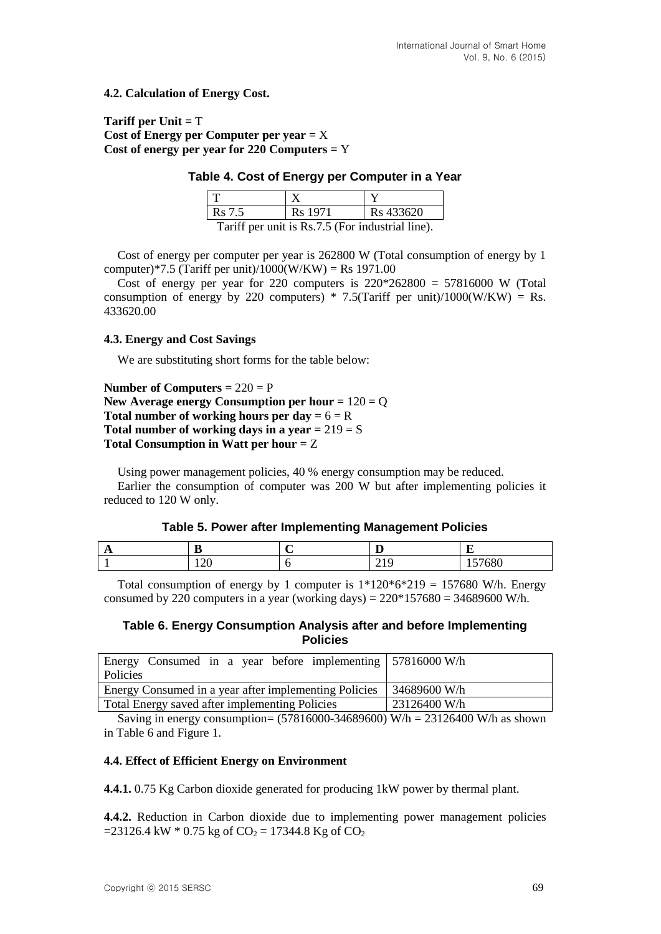#### **4.2. Calculation of Energy Cost.**

#### **Tariff per Unit =** T **Cost of Energy per Computer per year =** X **Cost of energy per year for 220 Computers =** Y

#### **Table 4. Cost of Energy per Computer in a Year**

| <b>Rs</b> 7.5                                    | Rs 1971 | Rs 433620 |
|--------------------------------------------------|---------|-----------|
| Tariff per unit is Rs.7.5 (For industrial line). |         |           |

Cost of energy per computer per year is 262800 W (Total consumption of energy by 1 computer)\*7.5 (Tariff per unit)/1000(W/KW) = Rs 1971.00

Cost of energy per year for 220 computers is  $220*262800 = 57816000$  W (Total consumption of energy by 220 computers) \* 7.5(Tariff per unit)/1000(W/KW) = Rs. 433620.00

#### **4.3. Energy and Cost Savings**

We are substituting short forms for the table below:

```
Number of Computers = 220 = P
New Average energy Consumption per hour = 120 = Q
Total number of working hours per day = 6 = RTotal number of working days in a year = 219 = STotal Consumption in Watt per hour = Z
```
Using power management policies, 40 % energy consumption may be reduced. Earlier the consumption of computer was 200 W but after implementing policies it reduced to 120 W only.

#### **Table 5. Power after Implementing Management Policies**

| . . | ∽<br>                 | ≖              |                            |
|-----|-----------------------|----------------|----------------------------|
|     | $\Delta$ c<br>$1 - U$ | $\overline{a}$ | $\sim$<br>--<br>vou<br>. . |

Total consumption of energy by 1 computer is  $1*120*6*219 = 157680$  W/h. Energy consumed by 220 computers in a year (working days) =  $220*157680 = 34689600$  W/h.

#### **Table 6. Energy Consumption Analysis after and before Implementing Policies**

| Energy Consumed in a year before implementing   57816000 W/h<br>Policies |              |  |
|--------------------------------------------------------------------------|--------------|--|
| Energy Consumed in a year after implementing Policies                    | 34689600 W/h |  |
| Total Energy saved after implementing Policies                           | 23126400 W/h |  |
|                                                                          |              |  |

Saving in energy consumption=  $(57816000-34689600)$  W/h = 23126400 W/h as shown in Table 6 and Figure 1.

#### **4.4. Effect of Efficient Energy on Environment**

**4.4.1.** 0.75 Kg Carbon dioxide generated for producing 1kW power by thermal plant.

**4.4.2.** Reduction in Carbon dioxide due to implementing power management policies  $=$  23126.4 kW  $*$  0.75 kg of CO<sub>2</sub> = 17344.8 Kg of CO<sub>2</sub>